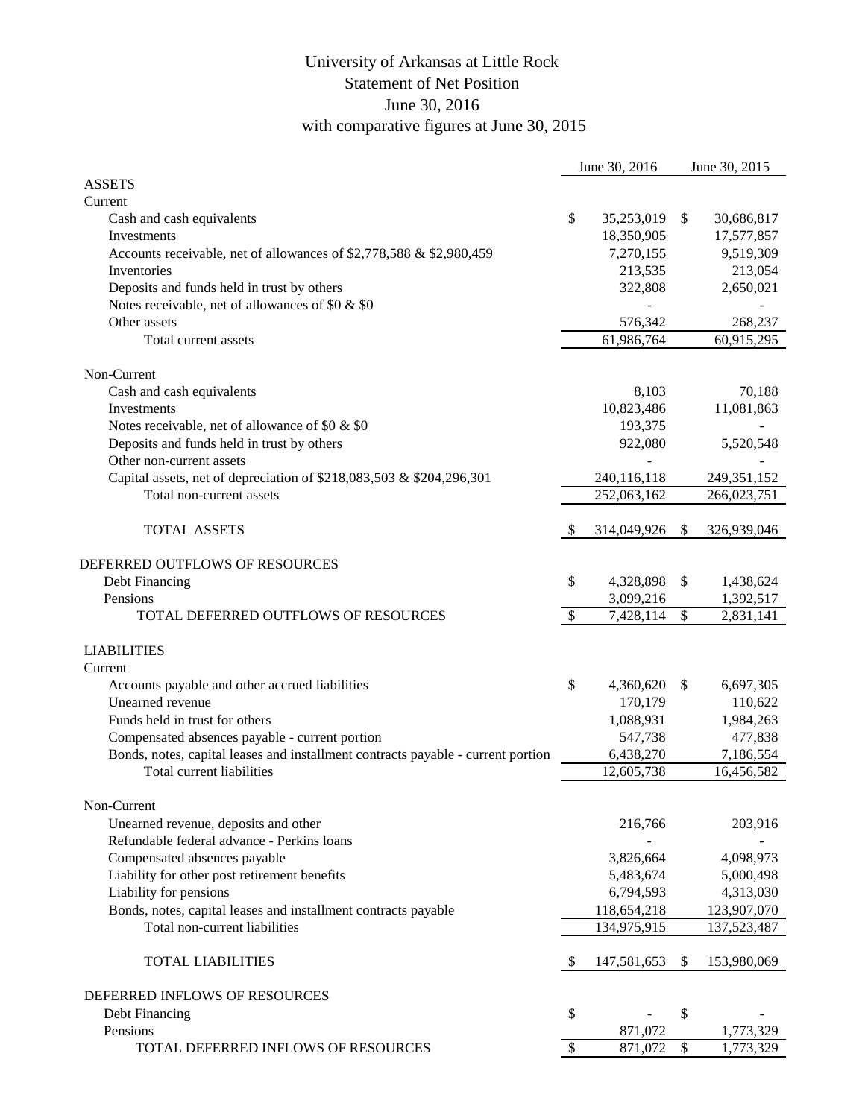## University of Arkansas at Little Rock Statement of Net Position June 30, 2016 with comparative figures at June 30, 2015

|                                                                                  |                           | June 30, 2016 |               | June 30, 2015 |
|----------------------------------------------------------------------------------|---------------------------|---------------|---------------|---------------|
| <b>ASSETS</b>                                                                    |                           |               |               |               |
| Current                                                                          |                           |               |               |               |
| Cash and cash equivalents                                                        | \$                        | 35,253,019    | $\mathbb{S}$  | 30,686,817    |
| Investments                                                                      |                           | 18,350,905    |               | 17,577,857    |
| Accounts receivable, net of allowances of \$2,778,588 & \$2,980,459              |                           | 7,270,155     |               | 9,519,309     |
| Inventories                                                                      |                           | 213,535       |               | 213,054       |
| Deposits and funds held in trust by others                                       |                           | 322,808       |               | 2,650,021     |
| Notes receivable, net of allowances of \$0 & \$0                                 |                           |               |               |               |
| Other assets                                                                     |                           | 576,342       |               | 268,237       |
| Total current assets                                                             |                           | 61,986,764    |               | 60,915,295    |
| Non-Current                                                                      |                           |               |               |               |
| Cash and cash equivalents                                                        |                           | 8,103         |               | 70,188        |
| Investments                                                                      |                           | 10,823,486    |               | 11,081,863    |
| Notes receivable, net of allowance of \$0 & \$0                                  |                           | 193,375       |               |               |
| Deposits and funds held in trust by others                                       |                           | 922,080       |               | 5,520,548     |
| Other non-current assets                                                         |                           |               |               |               |
| Capital assets, net of depreciation of \$218,083,503 & \$204,296,301             |                           | 240,116,118   |               | 249, 351, 152 |
| Total non-current assets                                                         |                           | 252,063,162   |               | 266,023,751   |
|                                                                                  |                           |               |               |               |
| <b>TOTAL ASSETS</b>                                                              | -\$                       | 314,049,926   | $\mathcal{S}$ | 326,939,046   |
| DEFERRED OUTFLOWS OF RESOURCES                                                   |                           |               |               |               |
| Debt Financing                                                                   | \$                        | 4,328,898     | \$            | 1,438,624     |
| Pensions                                                                         |                           | 3,099,216     |               | 1,392,517     |
| TOTAL DEFERRED OUTFLOWS OF RESOURCES                                             | $\boldsymbol{\mathsf{S}}$ | 7,428,114     | \$            | 2,831,141     |
|                                                                                  |                           |               |               |               |
| <b>LIABILITIES</b>                                                               |                           |               |               |               |
| Current                                                                          |                           |               |               |               |
| Accounts payable and other accrued liabilities                                   | \$                        | 4,360,620     | -S            | 6,697,305     |
| Unearned revenue                                                                 |                           | 170,179       |               | 110,622       |
| Funds held in trust for others                                                   |                           | 1,088,931     |               | 1,984,263     |
| Compensated absences payable - current portion                                   |                           | 547,738       |               | 477,838       |
| Bonds, notes, capital leases and installment contracts payable - current portion |                           | 6,438,270     |               | 7,186,554     |
| Total current liabilities                                                        |                           | 12,605,738    |               | 16,456,582    |
|                                                                                  |                           |               |               |               |
| Non-Current                                                                      |                           |               |               |               |
| Unearned revenue, deposits and other                                             |                           | 216,766       |               | 203,916       |
| Refundable federal advance - Perkins loans                                       |                           |               |               |               |
| Compensated absences payable                                                     |                           | 3,826,664     |               | 4,098,973     |
| Liability for other post retirement benefits                                     |                           | 5,483,674     |               | 5,000,498     |
| Liability for pensions                                                           |                           | 6,794,593     |               | 4,313,030     |
| Bonds, notes, capital leases and installment contracts payable                   |                           | 118,654,218   |               | 123,907,070   |
| Total non-current liabilities                                                    |                           | 134,975,915   |               | 137,523,487   |
|                                                                                  |                           |               |               |               |
| <b>TOTAL LIABILITIES</b>                                                         | -\$                       | 147,581,653   | \$            | 153,980,069   |
| DEFERRED INFLOWS OF RESOURCES                                                    |                           |               |               |               |
| Debt Financing                                                                   | \$                        |               | \$            |               |
| Pensions                                                                         |                           | 871,072       |               | 1,773,329     |
| TOTAL DEFERRED INFLOWS OF RESOURCES                                              | $\boldsymbol{\mathsf{S}}$ | 871,072       | \$            | 1,773,329     |
|                                                                                  |                           |               |               |               |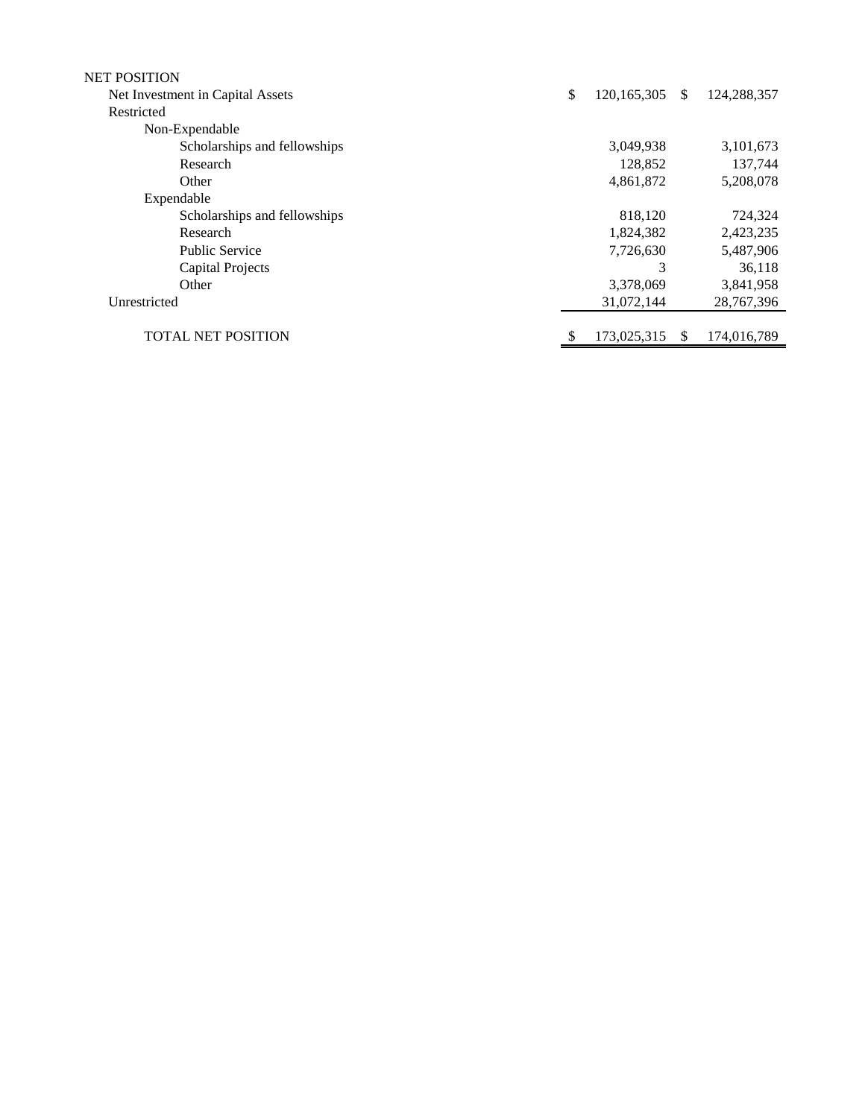| <b>NET POSITION</b>              |                     |    |             |
|----------------------------------|---------------------|----|-------------|
| Net Investment in Capital Assets | \$<br>120, 165, 305 | \$ | 124,288,357 |
| Restricted                       |                     |    |             |
| Non-Expendable                   |                     |    |             |
| Scholarships and fellowships     | 3,049,938           |    | 3,101,673   |
| Research                         | 128,852             |    | 137,744     |
| Other                            | 4,861,872           |    | 5,208,078   |
| Expendable                       |                     |    |             |
| Scholarships and fellowships     | 818,120             |    | 724,324     |
| Research                         | 1,824,382           |    | 2,423,235   |
| <b>Public Service</b>            | 7,726,630           |    | 5,487,906   |
| <b>Capital Projects</b>          | 3                   |    | 36,118      |
| Other                            | 3,378,069           |    | 3,841,958   |
| Unrestricted                     | 31,072,144          |    | 28,767,396  |
|                                  |                     |    |             |
| <b>TOTAL NET POSITION</b>        | 173,025,315         | S  | 174,016,789 |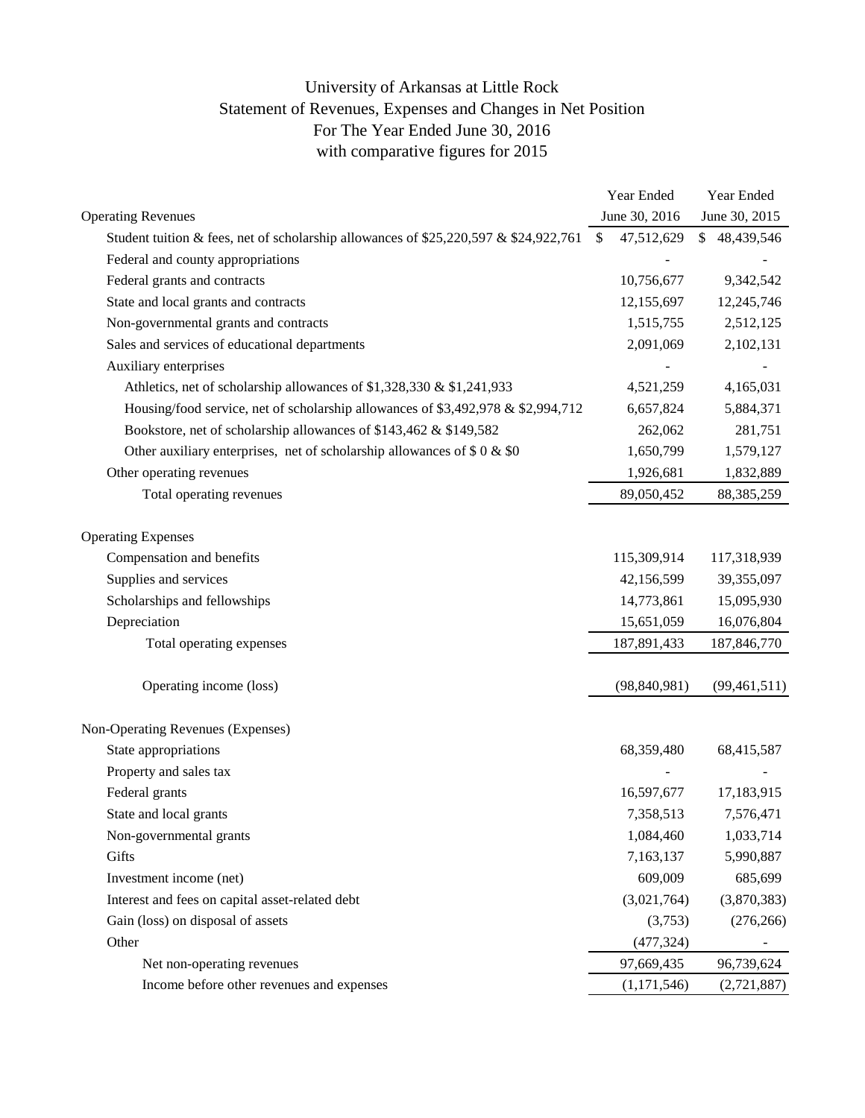## University of Arkansas at Little Rock Statement of Revenues, Expenses and Changes in Net Position For The Year Ended June 30, 2016 with comparative figures for 2015

| June 30, 2016<br>June 30, 2015<br><b>Operating Revenues</b><br>47,512,629<br>Student tuition & fees, net of scholarship allowances of \$25,220,597 & \$24,922,761<br>\$<br>\$48,439,546<br>Federal and county appropriations<br>Federal grants and contracts<br>10,756,677<br>9,342,542<br>State and local grants and contracts<br>12,155,697<br>12,245,746<br>Non-governmental grants and contracts<br>1,515,755<br>2,512,125<br>Sales and services of educational departments<br>2,091,069<br>2,102,131<br>Auxiliary enterprises<br>Athletics, net of scholarship allowances of \$1,328,330 & \$1,241,933<br>4,165,031<br>4,521,259<br>Housing/food service, net of scholarship allowances of \$3,492,978 & \$2,994,712<br>6,657,824<br>5,884,371<br>Bookstore, net of scholarship allowances of \$143,462 & \$149,582<br>262,062<br>281,751<br>Other auxiliary enterprises, net of scholarship allowances of $$0 \& $0$<br>1,650,799<br>1,579,127<br>Other operating revenues<br>1,926,681<br>1,832,889<br>Total operating revenues<br>89,050,452<br>88, 385, 259<br><b>Operating Expenses</b><br>Compensation and benefits<br>115,309,914<br>117,318,939<br>Supplies and services<br>42,156,599<br>39,355,097<br>Scholarships and fellowships<br>14,773,861<br>15,095,930<br>Depreciation<br>15,651,059<br>16,076,804<br>187,891,433<br>Total operating expenses<br>187,846,770<br>Operating income (loss)<br>(98, 840, 981)<br>(99, 461, 511)<br>Non-Operating Revenues (Expenses)<br>State appropriations<br>68,359,480<br>68,415,587<br>Property and sales tax<br>Federal grants<br>16,597,677<br>17,183,915<br>State and local grants<br>7,358,513<br>7,576,471<br>1,084,460<br>1,033,714<br>Non-governmental grants<br>Gifts<br>7,163,137<br>5,990,887<br>609,009<br>Investment income (net)<br>685,699<br>Interest and fees on capital asset-related debt<br>(3,021,764)<br>(3,870,383)<br>Gain (loss) on disposal of assets<br>(3,753)<br>(276, 266)<br>Other<br>(477, 324)<br>97,669,435<br>96,739,624<br>Net non-operating revenues<br>Income before other revenues and expenses |  | Year Ended    | Year Ended  |
|-----------------------------------------------------------------------------------------------------------------------------------------------------------------------------------------------------------------------------------------------------------------------------------------------------------------------------------------------------------------------------------------------------------------------------------------------------------------------------------------------------------------------------------------------------------------------------------------------------------------------------------------------------------------------------------------------------------------------------------------------------------------------------------------------------------------------------------------------------------------------------------------------------------------------------------------------------------------------------------------------------------------------------------------------------------------------------------------------------------------------------------------------------------------------------------------------------------------------------------------------------------------------------------------------------------------------------------------------------------------------------------------------------------------------------------------------------------------------------------------------------------------------------------------------------------------------------------------------------------------------------------------------------------------------------------------------------------------------------------------------------------------------------------------------------------------------------------------------------------------------------------------------------------------------------------------------------------------------------------------------------------------------------------------------------------------------------------------------|--|---------------|-------------|
|                                                                                                                                                                                                                                                                                                                                                                                                                                                                                                                                                                                                                                                                                                                                                                                                                                                                                                                                                                                                                                                                                                                                                                                                                                                                                                                                                                                                                                                                                                                                                                                                                                                                                                                                                                                                                                                                                                                                                                                                                                                                                               |  |               |             |
|                                                                                                                                                                                                                                                                                                                                                                                                                                                                                                                                                                                                                                                                                                                                                                                                                                                                                                                                                                                                                                                                                                                                                                                                                                                                                                                                                                                                                                                                                                                                                                                                                                                                                                                                                                                                                                                                                                                                                                                                                                                                                               |  |               |             |
|                                                                                                                                                                                                                                                                                                                                                                                                                                                                                                                                                                                                                                                                                                                                                                                                                                                                                                                                                                                                                                                                                                                                                                                                                                                                                                                                                                                                                                                                                                                                                                                                                                                                                                                                                                                                                                                                                                                                                                                                                                                                                               |  |               |             |
|                                                                                                                                                                                                                                                                                                                                                                                                                                                                                                                                                                                                                                                                                                                                                                                                                                                                                                                                                                                                                                                                                                                                                                                                                                                                                                                                                                                                                                                                                                                                                                                                                                                                                                                                                                                                                                                                                                                                                                                                                                                                                               |  |               |             |
|                                                                                                                                                                                                                                                                                                                                                                                                                                                                                                                                                                                                                                                                                                                                                                                                                                                                                                                                                                                                                                                                                                                                                                                                                                                                                                                                                                                                                                                                                                                                                                                                                                                                                                                                                                                                                                                                                                                                                                                                                                                                                               |  |               |             |
|                                                                                                                                                                                                                                                                                                                                                                                                                                                                                                                                                                                                                                                                                                                                                                                                                                                                                                                                                                                                                                                                                                                                                                                                                                                                                                                                                                                                                                                                                                                                                                                                                                                                                                                                                                                                                                                                                                                                                                                                                                                                                               |  |               |             |
|                                                                                                                                                                                                                                                                                                                                                                                                                                                                                                                                                                                                                                                                                                                                                                                                                                                                                                                                                                                                                                                                                                                                                                                                                                                                                                                                                                                                                                                                                                                                                                                                                                                                                                                                                                                                                                                                                                                                                                                                                                                                                               |  |               |             |
|                                                                                                                                                                                                                                                                                                                                                                                                                                                                                                                                                                                                                                                                                                                                                                                                                                                                                                                                                                                                                                                                                                                                                                                                                                                                                                                                                                                                                                                                                                                                                                                                                                                                                                                                                                                                                                                                                                                                                                                                                                                                                               |  |               |             |
|                                                                                                                                                                                                                                                                                                                                                                                                                                                                                                                                                                                                                                                                                                                                                                                                                                                                                                                                                                                                                                                                                                                                                                                                                                                                                                                                                                                                                                                                                                                                                                                                                                                                                                                                                                                                                                                                                                                                                                                                                                                                                               |  |               |             |
|                                                                                                                                                                                                                                                                                                                                                                                                                                                                                                                                                                                                                                                                                                                                                                                                                                                                                                                                                                                                                                                                                                                                                                                                                                                                                                                                                                                                                                                                                                                                                                                                                                                                                                                                                                                                                                                                                                                                                                                                                                                                                               |  |               |             |
|                                                                                                                                                                                                                                                                                                                                                                                                                                                                                                                                                                                                                                                                                                                                                                                                                                                                                                                                                                                                                                                                                                                                                                                                                                                                                                                                                                                                                                                                                                                                                                                                                                                                                                                                                                                                                                                                                                                                                                                                                                                                                               |  |               |             |
|                                                                                                                                                                                                                                                                                                                                                                                                                                                                                                                                                                                                                                                                                                                                                                                                                                                                                                                                                                                                                                                                                                                                                                                                                                                                                                                                                                                                                                                                                                                                                                                                                                                                                                                                                                                                                                                                                                                                                                                                                                                                                               |  |               |             |
|                                                                                                                                                                                                                                                                                                                                                                                                                                                                                                                                                                                                                                                                                                                                                                                                                                                                                                                                                                                                                                                                                                                                                                                                                                                                                                                                                                                                                                                                                                                                                                                                                                                                                                                                                                                                                                                                                                                                                                                                                                                                                               |  |               |             |
|                                                                                                                                                                                                                                                                                                                                                                                                                                                                                                                                                                                                                                                                                                                                                                                                                                                                                                                                                                                                                                                                                                                                                                                                                                                                                                                                                                                                                                                                                                                                                                                                                                                                                                                                                                                                                                                                                                                                                                                                                                                                                               |  |               |             |
|                                                                                                                                                                                                                                                                                                                                                                                                                                                                                                                                                                                                                                                                                                                                                                                                                                                                                                                                                                                                                                                                                                                                                                                                                                                                                                                                                                                                                                                                                                                                                                                                                                                                                                                                                                                                                                                                                                                                                                                                                                                                                               |  |               |             |
|                                                                                                                                                                                                                                                                                                                                                                                                                                                                                                                                                                                                                                                                                                                                                                                                                                                                                                                                                                                                                                                                                                                                                                                                                                                                                                                                                                                                                                                                                                                                                                                                                                                                                                                                                                                                                                                                                                                                                                                                                                                                                               |  |               |             |
|                                                                                                                                                                                                                                                                                                                                                                                                                                                                                                                                                                                                                                                                                                                                                                                                                                                                                                                                                                                                                                                                                                                                                                                                                                                                                                                                                                                                                                                                                                                                                                                                                                                                                                                                                                                                                                                                                                                                                                                                                                                                                               |  |               |             |
|                                                                                                                                                                                                                                                                                                                                                                                                                                                                                                                                                                                                                                                                                                                                                                                                                                                                                                                                                                                                                                                                                                                                                                                                                                                                                                                                                                                                                                                                                                                                                                                                                                                                                                                                                                                                                                                                                                                                                                                                                                                                                               |  |               |             |
|                                                                                                                                                                                                                                                                                                                                                                                                                                                                                                                                                                                                                                                                                                                                                                                                                                                                                                                                                                                                                                                                                                                                                                                                                                                                                                                                                                                                                                                                                                                                                                                                                                                                                                                                                                                                                                                                                                                                                                                                                                                                                               |  |               |             |
|                                                                                                                                                                                                                                                                                                                                                                                                                                                                                                                                                                                                                                                                                                                                                                                                                                                                                                                                                                                                                                                                                                                                                                                                                                                                                                                                                                                                                                                                                                                                                                                                                                                                                                                                                                                                                                                                                                                                                                                                                                                                                               |  |               |             |
|                                                                                                                                                                                                                                                                                                                                                                                                                                                                                                                                                                                                                                                                                                                                                                                                                                                                                                                                                                                                                                                                                                                                                                                                                                                                                                                                                                                                                                                                                                                                                                                                                                                                                                                                                                                                                                                                                                                                                                                                                                                                                               |  |               |             |
|                                                                                                                                                                                                                                                                                                                                                                                                                                                                                                                                                                                                                                                                                                                                                                                                                                                                                                                                                                                                                                                                                                                                                                                                                                                                                                                                                                                                                                                                                                                                                                                                                                                                                                                                                                                                                                                                                                                                                                                                                                                                                               |  |               |             |
|                                                                                                                                                                                                                                                                                                                                                                                                                                                                                                                                                                                                                                                                                                                                                                                                                                                                                                                                                                                                                                                                                                                                                                                                                                                                                                                                                                                                                                                                                                                                                                                                                                                                                                                                                                                                                                                                                                                                                                                                                                                                                               |  |               |             |
|                                                                                                                                                                                                                                                                                                                                                                                                                                                                                                                                                                                                                                                                                                                                                                                                                                                                                                                                                                                                                                                                                                                                                                                                                                                                                                                                                                                                                                                                                                                                                                                                                                                                                                                                                                                                                                                                                                                                                                                                                                                                                               |  |               |             |
|                                                                                                                                                                                                                                                                                                                                                                                                                                                                                                                                                                                                                                                                                                                                                                                                                                                                                                                                                                                                                                                                                                                                                                                                                                                                                                                                                                                                                                                                                                                                                                                                                                                                                                                                                                                                                                                                                                                                                                                                                                                                                               |  |               |             |
|                                                                                                                                                                                                                                                                                                                                                                                                                                                                                                                                                                                                                                                                                                                                                                                                                                                                                                                                                                                                                                                                                                                                                                                                                                                                                                                                                                                                                                                                                                                                                                                                                                                                                                                                                                                                                                                                                                                                                                                                                                                                                               |  |               |             |
|                                                                                                                                                                                                                                                                                                                                                                                                                                                                                                                                                                                                                                                                                                                                                                                                                                                                                                                                                                                                                                                                                                                                                                                                                                                                                                                                                                                                                                                                                                                                                                                                                                                                                                                                                                                                                                                                                                                                                                                                                                                                                               |  |               |             |
|                                                                                                                                                                                                                                                                                                                                                                                                                                                                                                                                                                                                                                                                                                                                                                                                                                                                                                                                                                                                                                                                                                                                                                                                                                                                                                                                                                                                                                                                                                                                                                                                                                                                                                                                                                                                                                                                                                                                                                                                                                                                                               |  |               |             |
|                                                                                                                                                                                                                                                                                                                                                                                                                                                                                                                                                                                                                                                                                                                                                                                                                                                                                                                                                                                                                                                                                                                                                                                                                                                                                                                                                                                                                                                                                                                                                                                                                                                                                                                                                                                                                                                                                                                                                                                                                                                                                               |  |               |             |
|                                                                                                                                                                                                                                                                                                                                                                                                                                                                                                                                                                                                                                                                                                                                                                                                                                                                                                                                                                                                                                                                                                                                                                                                                                                                                                                                                                                                                                                                                                                                                                                                                                                                                                                                                                                                                                                                                                                                                                                                                                                                                               |  |               |             |
|                                                                                                                                                                                                                                                                                                                                                                                                                                                                                                                                                                                                                                                                                                                                                                                                                                                                                                                                                                                                                                                                                                                                                                                                                                                                                                                                                                                                                                                                                                                                                                                                                                                                                                                                                                                                                                                                                                                                                                                                                                                                                               |  |               |             |
|                                                                                                                                                                                                                                                                                                                                                                                                                                                                                                                                                                                                                                                                                                                                                                                                                                                                                                                                                                                                                                                                                                                                                                                                                                                                                                                                                                                                                                                                                                                                                                                                                                                                                                                                                                                                                                                                                                                                                                                                                                                                                               |  |               |             |
|                                                                                                                                                                                                                                                                                                                                                                                                                                                                                                                                                                                                                                                                                                                                                                                                                                                                                                                                                                                                                                                                                                                                                                                                                                                                                                                                                                                                                                                                                                                                                                                                                                                                                                                                                                                                                                                                                                                                                                                                                                                                                               |  |               |             |
|                                                                                                                                                                                                                                                                                                                                                                                                                                                                                                                                                                                                                                                                                                                                                                                                                                                                                                                                                                                                                                                                                                                                                                                                                                                                                                                                                                                                                                                                                                                                                                                                                                                                                                                                                                                                                                                                                                                                                                                                                                                                                               |  |               |             |
|                                                                                                                                                                                                                                                                                                                                                                                                                                                                                                                                                                                                                                                                                                                                                                                                                                                                                                                                                                                                                                                                                                                                                                                                                                                                                                                                                                                                                                                                                                                                                                                                                                                                                                                                                                                                                                                                                                                                                                                                                                                                                               |  | (1, 171, 546) | (2,721,887) |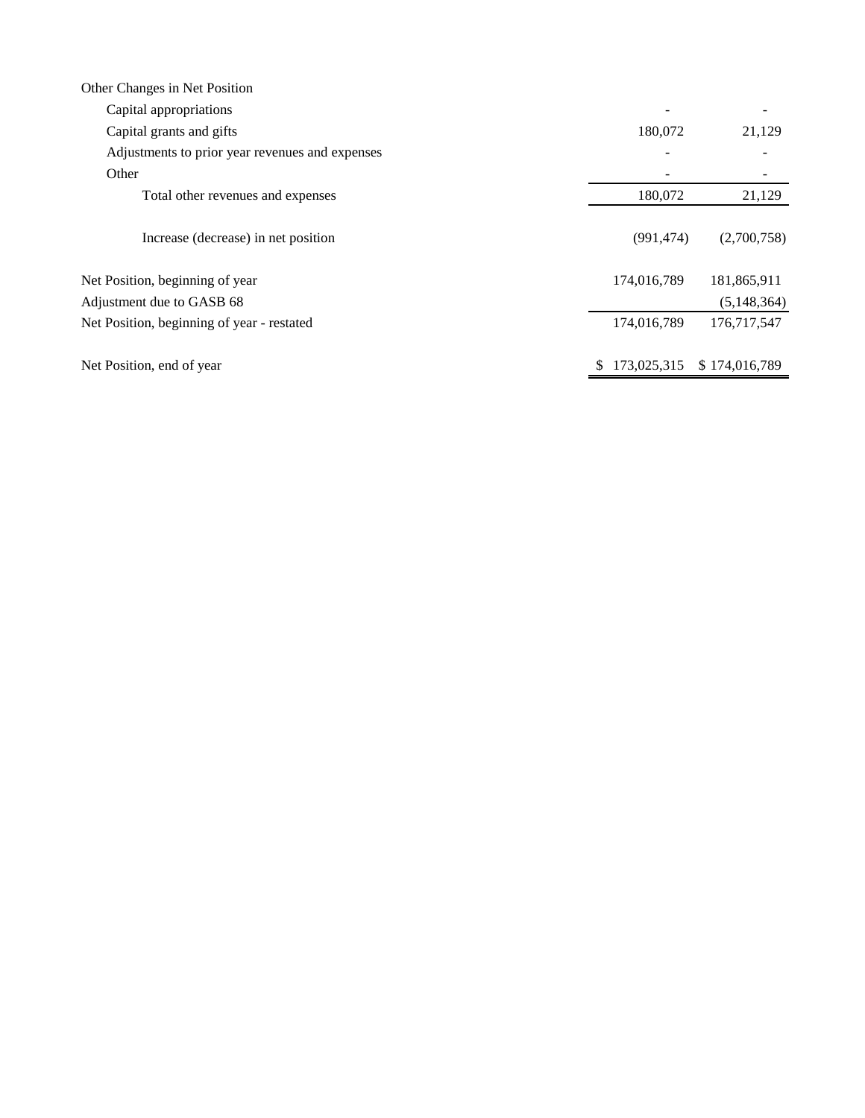| Other Changes in Net Position                   |             |               |
|-------------------------------------------------|-------------|---------------|
| Capital appropriations                          |             |               |
| Capital grants and gifts                        | 180,072     | 21,129        |
| Adjustments to prior year revenues and expenses |             |               |
| Other                                           |             |               |
| Total other revenues and expenses               | 180,072     | 21,129        |
| Increase (decrease) in net position             | (991, 474)  | (2,700,758)   |
| Net Position, beginning of year                 | 174,016,789 | 181,865,911   |
| Adjustment due to GASB 68                       |             | (5,148,364)   |
| Net Position, beginning of year - restated      | 174,016,789 | 176,717,547   |
| Net Position, end of year                       | 173,025,315 | \$174,016,789 |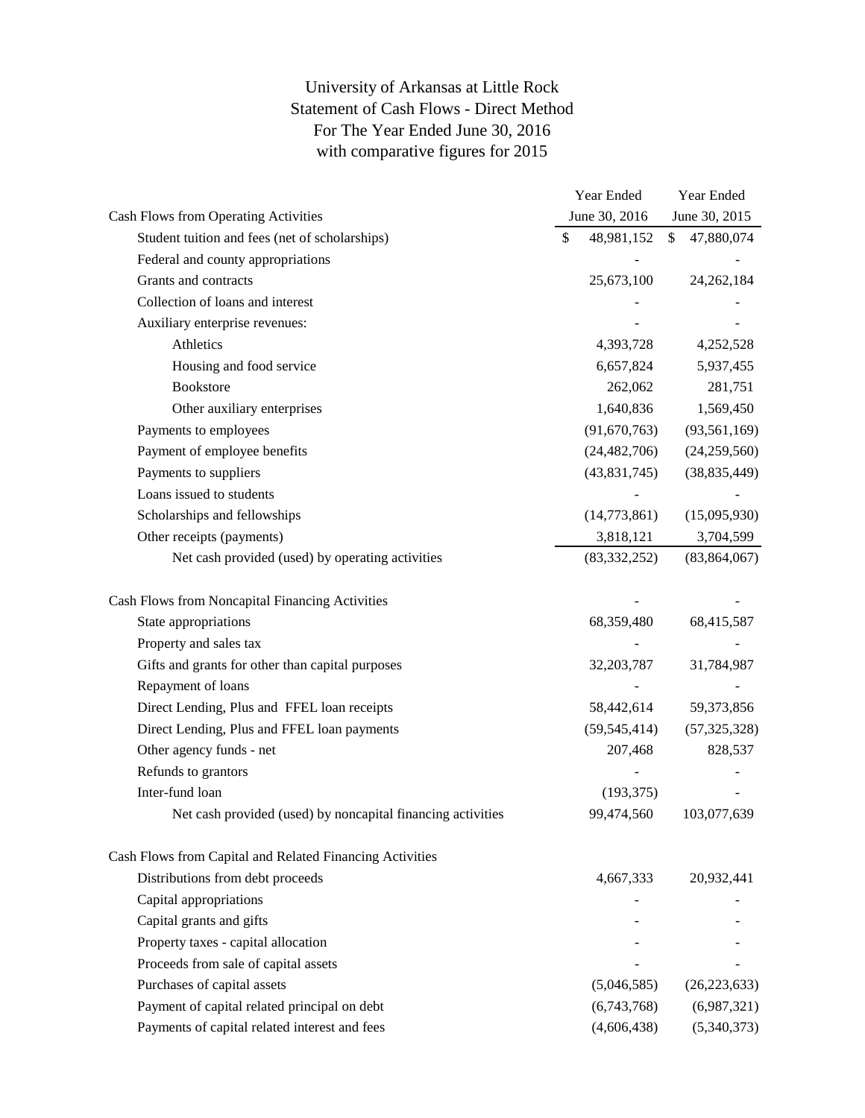University of Arkansas at Little Rock Statement of Cash Flows - Direct Method For The Year Ended June 30, 2016 with comparative figures for 2015

|                                                             | Year Ended       |              | Year Ended     |
|-------------------------------------------------------------|------------------|--------------|----------------|
| Cash Flows from Operating Activities                        | June 30, 2016    |              | June 30, 2015  |
| Student tuition and fees (net of scholarships)              | \$<br>48,981,152 | $\mathbb{S}$ | 47,880,074     |
| Federal and county appropriations                           |                  |              |                |
| Grants and contracts                                        | 25,673,100       |              | 24, 262, 184   |
| Collection of loans and interest                            |                  |              |                |
| Auxiliary enterprise revenues:                              |                  |              |                |
| Athletics                                                   | 4,393,728        |              | 4,252,528      |
| Housing and food service                                    | 6,657,824        |              | 5,937,455      |
| <b>Bookstore</b>                                            | 262,062          |              | 281,751        |
| Other auxiliary enterprises                                 | 1,640,836        |              | 1,569,450      |
| Payments to employees                                       | (91,670,763)     |              | (93, 561, 169) |
| Payment of employee benefits                                | (24, 482, 706)   |              | (24,259,560)   |
| Payments to suppliers                                       | (43,831,745)     |              | (38, 835, 449) |
| Loans issued to students                                    |                  |              |                |
| Scholarships and fellowships                                | (14,773,861)     |              | (15,095,930)   |
| Other receipts (payments)                                   | 3,818,121        |              | 3,704,599      |
| Net cash provided (used) by operating activities            | (83, 332, 252)   |              | (83, 864, 067) |
| Cash Flows from Noncapital Financing Activities             |                  |              |                |
| State appropriations                                        | 68,359,480       |              | 68,415,587     |
| Property and sales tax                                      |                  |              |                |
| Gifts and grants for other than capital purposes            | 32, 203, 787     |              | 31,784,987     |
| Repayment of loans                                          |                  |              |                |
| Direct Lending, Plus and FFEL loan receipts                 | 58,442,614       |              | 59,373,856     |
| Direct Lending, Plus and FFEL loan payments                 | (59, 545, 414)   |              | (57, 325, 328) |
| Other agency funds - net                                    | 207,468          |              | 828,537        |
| Refunds to grantors                                         |                  |              |                |
| Inter-fund loan                                             | (193, 375)       |              |                |
| Net cash provided (used) by noncapital financing activities | 99,474,560       |              | 103,077,639    |
| Cash Flows from Capital and Related Financing Activities    |                  |              |                |
| Distributions from debt proceeds                            | 4,667,333        |              | 20,932,441     |
| Capital appropriations                                      |                  |              |                |
| Capital grants and gifts                                    |                  |              |                |
| Property taxes - capital allocation                         |                  |              |                |
| Proceeds from sale of capital assets                        |                  |              |                |
| Purchases of capital assets                                 | (5,046,585)      |              | (26, 223, 633) |
| Payment of capital related principal on debt                | (6,743,768)      |              | (6,987,321)    |
| Payments of capital related interest and fees               | (4,606,438)      |              | (5,340,373)    |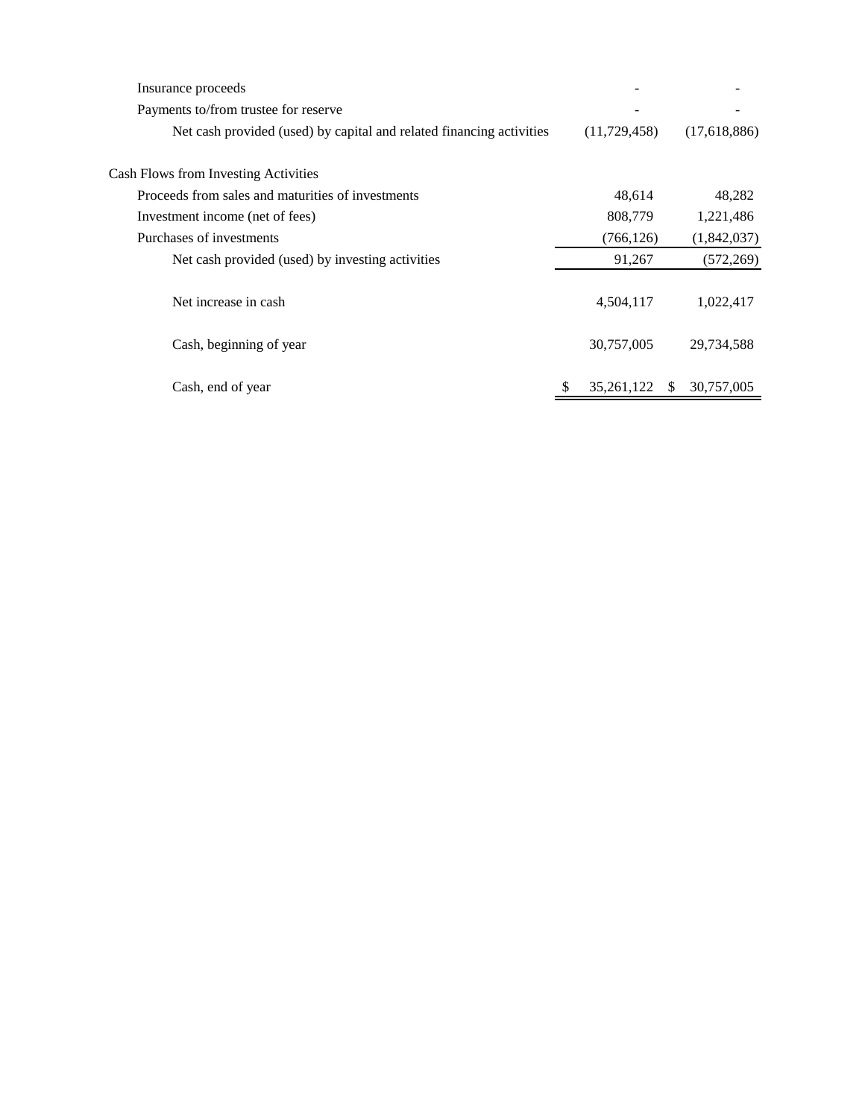| Insurance proceeds                                                   |   |                |     |              |
|----------------------------------------------------------------------|---|----------------|-----|--------------|
| Payments to/from trustee for reserve                                 |   |                |     |              |
| Net cash provided (used) by capital and related financing activities |   | (11, 729, 458) |     | (17,618,886) |
| Cash Flows from Investing Activities                                 |   |                |     |              |
| Proceeds from sales and maturities of investments                    |   | 48,614         |     | 48,282       |
| Investment income (net of fees)                                      |   | 808,779        |     | 1,221,486    |
| Purchases of investments                                             |   | (766, 126)     |     | (1,842,037)  |
| Net cash provided (used) by investing activities                     |   | 91,267         |     | (572, 269)   |
| Net increase in cash                                                 |   | 4,504,117      |     | 1,022,417    |
| Cash, beginning of year                                              |   | 30,757,005     |     | 29,734,588   |
| Cash, end of year                                                    | S | 35,261,122     | \$. | 30,757,005   |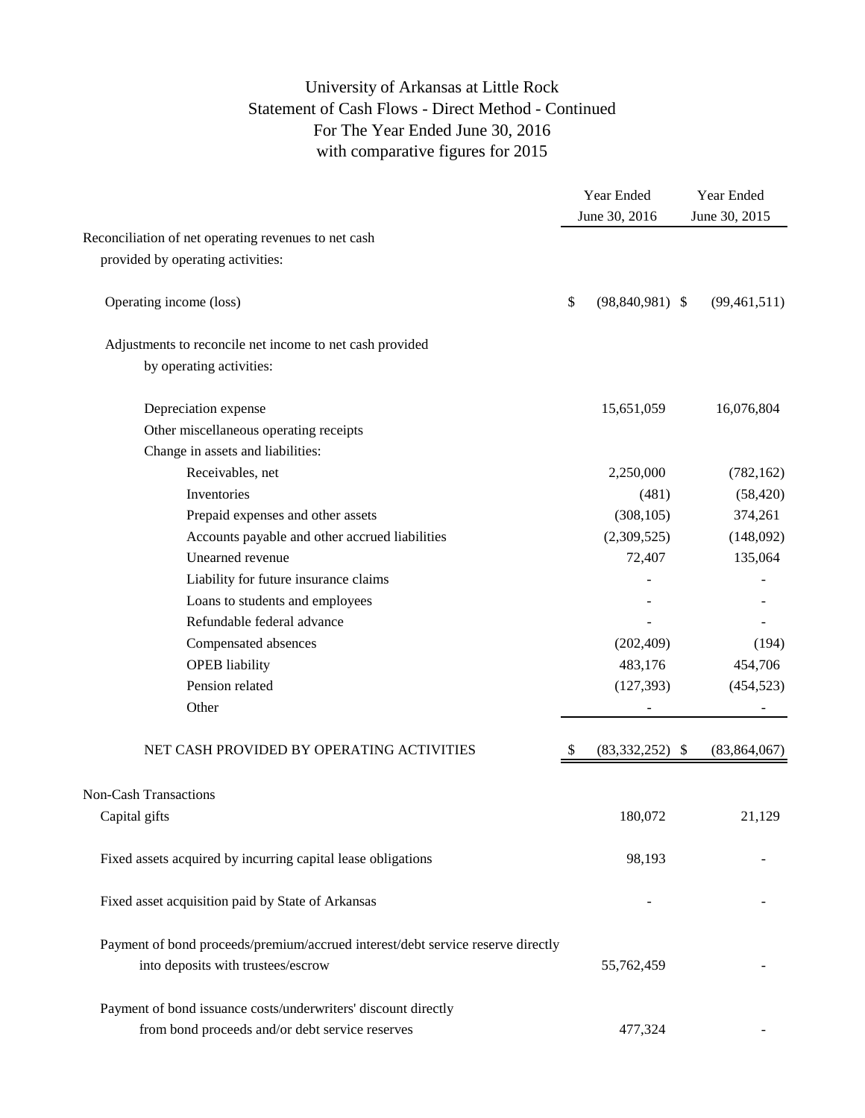## University of Arkansas at Little Rock Statement of Cash Flows - Direct Method - Continued For The Year Ended June 30, 2016 with comparative figures for 2015

|                                                                                 | Year Ended<br>June 30, 2016 |                   | Year Ended<br>June 30, 2015 |  |
|---------------------------------------------------------------------------------|-----------------------------|-------------------|-----------------------------|--|
| Reconciliation of net operating revenues to net cash                            |                             |                   |                             |  |
| provided by operating activities:                                               |                             |                   |                             |  |
| Operating income (loss)                                                         | \$                          | $(98,840,981)$ \$ | (99, 461, 511)              |  |
| Adjustments to reconcile net income to net cash provided                        |                             |                   |                             |  |
| by operating activities:                                                        |                             |                   |                             |  |
| Depreciation expense                                                            |                             | 15,651,059        | 16,076,804                  |  |
| Other miscellaneous operating receipts                                          |                             |                   |                             |  |
| Change in assets and liabilities:                                               |                             |                   |                             |  |
| Receivables, net                                                                |                             | 2,250,000         | (782, 162)                  |  |
| Inventories                                                                     |                             | (481)             | (58, 420)                   |  |
| Prepaid expenses and other assets                                               |                             | (308, 105)        | 374,261                     |  |
| Accounts payable and other accrued liabilities                                  |                             | (2,309,525)       | (148,092)                   |  |
| Unearned revenue                                                                |                             | 72,407            | 135,064                     |  |
| Liability for future insurance claims                                           |                             |                   |                             |  |
| Loans to students and employees                                                 |                             |                   |                             |  |
| Refundable federal advance                                                      |                             |                   |                             |  |
| Compensated absences                                                            |                             | (202, 409)        | (194)                       |  |
| <b>OPEB</b> liability                                                           |                             | 483,176           | 454,706                     |  |
| Pension related                                                                 |                             | (127, 393)        | (454, 523)                  |  |
| Other                                                                           |                             |                   |                             |  |
| NET CASH PROVIDED BY OPERATING ACTIVITIES                                       | S                           | $(83,332,252)$ \$ | (83, 864, 067)              |  |
| <b>Non-Cash Transactions</b>                                                    |                             |                   |                             |  |
| Capital gifts                                                                   |                             | 180,072           | 21,129                      |  |
| Fixed assets acquired by incurring capital lease obligations                    |                             | 98,193            |                             |  |
| Fixed asset acquisition paid by State of Arkansas                               |                             |                   |                             |  |
| Payment of bond proceeds/premium/accrued interest/debt service reserve directly |                             |                   |                             |  |
| into deposits with trustees/escrow                                              |                             | 55,762,459        |                             |  |
| Payment of bond issuance costs/underwriters' discount directly                  |                             |                   |                             |  |
| from bond proceeds and/or debt service reserves                                 |                             | 477,324           |                             |  |